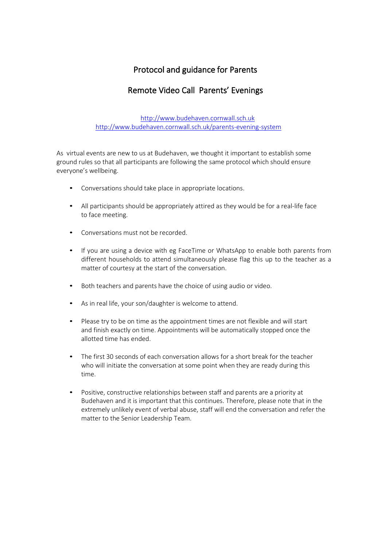# Protocol and guidance for Parents

# Remote Video Call Parents' Evenings

http://www.budehaven.cornwall.sch.uk <http://www.budehaven.cornwall.sch.uk/parents-evening-system>

As virtual events are new to us at Budehaven, we thought it important to establish some ground rules so that all participants are following the same protocol which should ensure everyone's wellbeing.

- Conversations should take place in appropriate locations.
- All participants should be appropriately attired as they would be for a real-life face to face meeting.
- Conversations must not be recorded.
- If you are using a device with eg FaceTime or WhatsApp to enable both parents from different households to attend simultaneously please flag this up to the teacher as a matter of courtesy at the start of the conversation.
- Both teachers and parents have the choice of using audio or video.
- As in real life, your son/daughter is welcome to attend.
- Please try to be on time as the appointment times are not flexible and will start and finish exactly on time. Appointments will be automatically stopped once the allotted time has ended.
- The first 30 seconds of each conversation allows for a short break for the teacher who will initiate the conversation at some point when they are ready during this time.
- Positive, constructive relationships between staff and parents are a priority at Budehaven and it is important that this continues. Therefore, please note that in the extremely unlikely event of verbal abuse, staff will end the conversation and refer the matter to the Senior Leadership Team.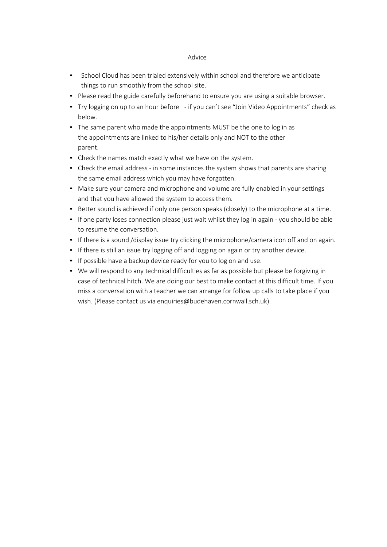## Advice

- School Cloud has been trialed extensively within school and therefore we anticipate things to run smoothly from the school site.
- Please read the guide carefully beforehand to ensure you are using a suitable browser.
- Try logging on up to an hour before if you can't see "Join Video Appointments" check as below.
- The same parent who made the appointments MUST be the one to log in as the appointments are linked to his/her details only and NOT to the other parent.
- Check the names match exactly what we have on the system.
- Check the email address in some instances the system shows that parents are sharing the same email address which you may have forgotten.
- Make sure your camera and microphone and volume are fully enabled in your settings and that you have allowed the system to access them.
- Better sound is achieved if only one person speaks (closely) to the microphone at a time.
- If one party loses connection please just wait whilst they log in again you should be able to resume the conversation.
- If there is a sound /display issue try clicking the microphone/camera icon off and on again.
- If there is still an issue try logging off and logging on again or try another device.
- If possible have a backup device ready for you to log on and use.
- We will respond to any technical difficulties as far as possible but please be forgiving in case of technical hitch. We are doing our best to make contact at this difficult time. If you miss a conversation with a teacher we can arrange for follow up calls to take place if you wish. (Please contact us via enquiries@budehaven.cornwall.sch.uk).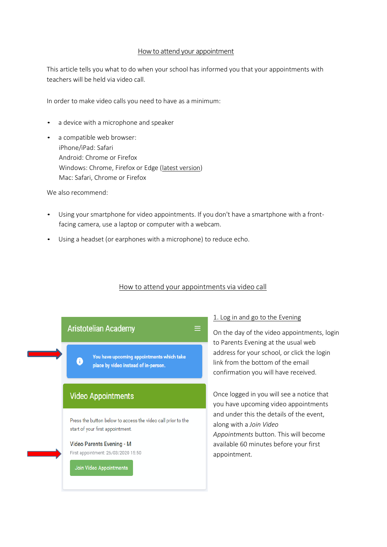### Howto attend your appointment

This article tells you what to do when your school has informed you that your appointments with teachers will be held via video call.

In order to make video calls you need to have as a minimum:

- a device with a microphone and speaker
- a compatible web browser: iPhone/iPad: Safari Android: Chrome or Firefox Windows: Chrome, Firefox or Edge (latest [version\)](https://www.microsoft.com/en-us/edge) Mac: Safari, Chrome or Firefox

We also recommend:

- Using your smartphone for video appointments. If you don't have a smartphone with a frontfacing camera, use a laptop or computer with a webcam.
- Using a headset (or earphones with a microphone) to reduce echo.

## How to attend your appointments via video call

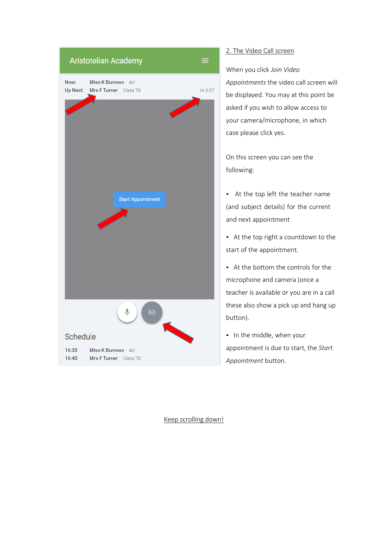

## 2. The Video Call screen

When you click *Join Video Appointments* the video call screen will be displayed. You may at this point be asked if you wish to allow access to your camera/microphone, in which case please click yes.

On this screen you can see the following:

• At the top left the teacher name (and subject details) for the current and next appointment

• At the top right a countdown to the start of the appointment.

• At the bottom the controls for the microphone and camera (once a teacher is available or you are in a call these also show a pick up and hang up button).

• In the middle, when your appointment is due to start, the *Start Appointment* button.

Keep scrolling down!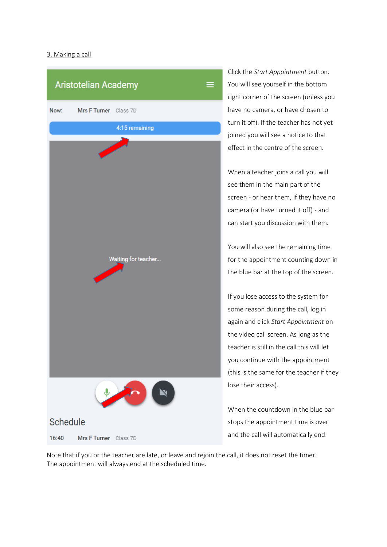## 3. Making a call



Click the *Start Appointment* button. You will see yourself in the bottom right corner of the screen (unless you have no camera, or have chosen to turn it off). If the teacher has not yet joined you will see a notice to that effect in the centre of the screen.

When a teacher joins a call you will see them in the main part of the screen - or hear them, if they have no camera (or have turned it off) - and can start you discussion with them.

You will also see the remaining time for the appointment counting down in the blue bar at the top of the screen.

If you lose access to the system for some reason during the call, log in again and click *Start Appointment* on the video call screen. As long as the teacher is still in the call this will let you continue with the appointment (this is the same for the teacher if they lose their access).

When the countdown in the blue bar stops the appointment time is over and the call will automatically end.

Note that if you or the teacher are late, or leave and rejoin the call, it does not reset the timer. The appointment will always end at the scheduled time.